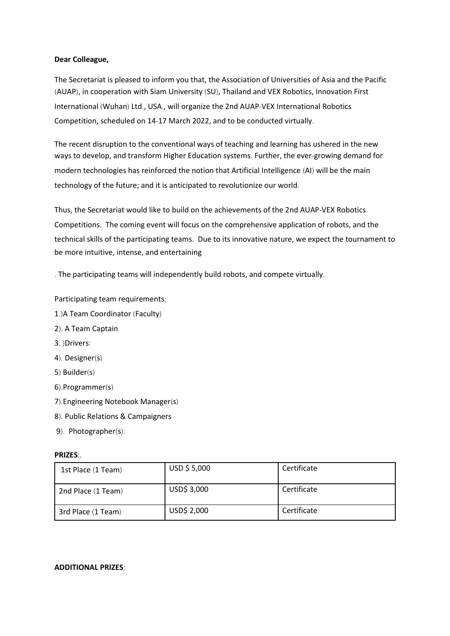## **Dear Colleague,**

The Secretariat is pleased to inform you that, the Association of Universities of Asia and the Pacific (AUAP), in cooperation with Siam University (SU), Thailand and VEX Robotics, Innovation First International (Wuhan) Ltd., USA., will organize the 2nd AUAP-VEX International Robotics Competition, scheduled on 14-17 March 2022, and to be conducted virtually.

The recent disruption to the conventional ways of teaching and learning has ushered in the new ways to develop, and transform Higher Education systems. Further, the ever-growing demand for modern technologies has reinforced the notion that Artificial Intelligence (AI) will be the main technology of the future; and it is anticipated to revolutionize our world.

Thus, the Secretariat would like to build on the achievements of the 2nd AUAP-VEX Robotics Competitions. The coming event will focus on the comprehensive application of robots, and the technical skills of the participating teams. Due to its innovative nature, we expect the tournament to be more intuitive, intense, and entertaining

. The participating teams will independently build robots, and compete virtually.

Participating team requirements:

- 1.)A Team Coordinator (Faculty)
- 2). A Team Captain
- 3. )Drivers:
- 4). Designer(s)
- 5) Builder(s)
- 6).Programmer(s)
- 7).Engineering Notebook Manager(s)
- 8). Public Relations & Campaigners
- 9). Photographer(s):

## **PRIZES:.**

| 1st Place (1 Team) | USD \$5,000 | Certificate |  |
|--------------------|-------------|-------------|--|
| 2nd Place (1 Team) | USD\$ 3,000 | Certificate |  |
| 3rd Place (1 Team) | USD\$ 2,000 | Certificate |  |

#### **ADDITIONAL PRIZES:**